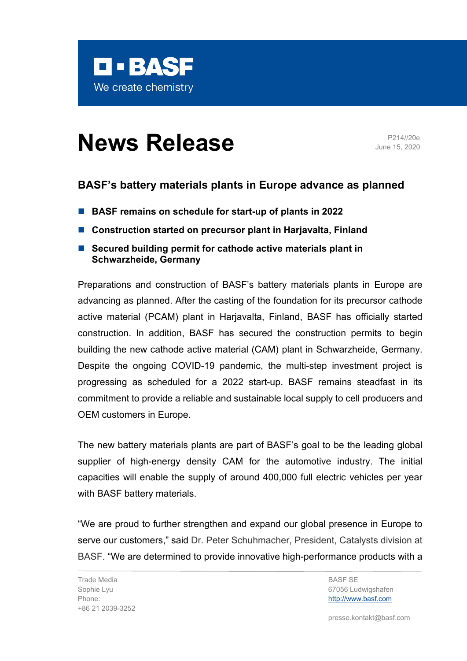

## **News Release** P214//20e

June 15, 2020

## **BASF's battery materials plants in Europe advance as planned**

- BASF remains on schedule for start-up of plants in 2022
- Construction started on precursor plant in Harjavalta, Finland
- Secured building permit for cathode active materials plant in **Schwarzheide, Germany**

Preparations and construction of BASF's battery materials plants in Europe are advancing as planned. After the casting of the foundation for its precursor cathode active material (PCAM) plant in Harjavalta, Finland, BASF has officially started construction. In addition, BASF has secured the construction permits to begin building the new cathode active material (CAM) plant in Schwarzheide, Germany. Despite the ongoing COVID-19 pandemic, the multi-step investment project is progressing as scheduled for a 2022 start-up. BASF remains steadfast in its commitment to provide a reliable and sustainable local supply to cell producers and OEM customers in Europe.

The new battery materials plants are part of BASF's goal to be the leading global supplier of high-energy density CAM for the automotive industry. The initial capacities will enable the supply of around 400,000 full electric vehicles per year with BASF battery materials.

"We are proud to further strengthen and expand our global presence in Europe to serve our customers," said Dr. Peter Schuhmacher, President, Catalysts division at BASF. "We are determined to provide innovative high-performance products with a